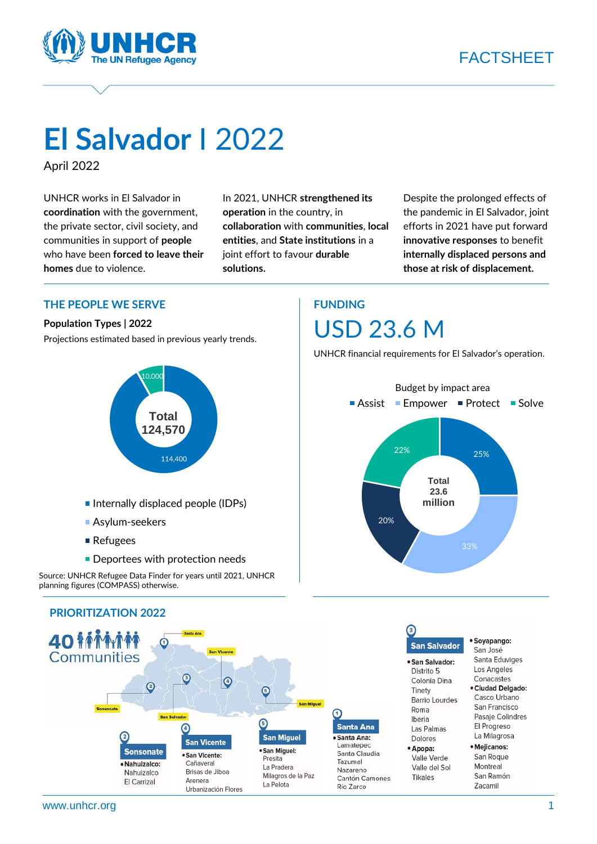



# **El Salvador** I 2022

April 2022

UNHCR works in El Salvador in **coordination** with the government, the private sector, civil society, and communities in support of **people** who have been **forced to leave their homes** due to violence.

In 2021, UNHCR **strengthened its operation** in the country, in **collaboration** with **communities**, **local entities**, and **State institutions** in a joint effort to favour **durable solutions.**

Despite the prolonged effects of the pandemic in El Salvador, joint efforts in 2021 have put forward **innovative responses** to benefit **internally displaced persons and those at risk of displacement.**

 $\overline{a}$ 

**CREATED str**

**he ne** 22%

**its** 

**era** 20%

in

N UNHCR financial requirements for El Salvador's operation.

Assist **■** Empower ■ Protect ■ Solve

Budget by impact area

**Total 23.6 million** 25%

33%

U USD 23.6 M

**FUNDING** 

#### **THE PEOPLE WE SERVE**

#### **Population Types | 2022**

Projections estimated based in previous yearly trends.



- **Internally displaced people (IDPs)**
- **Asylum-seekers**
- Refugees
- **Deportees with protection needs**

Source: UNHCR Refugee Data Finder for years until 2021, UNHCR planning figures (COMPASS) otherwise.



### **PRIORITIZATION 2022**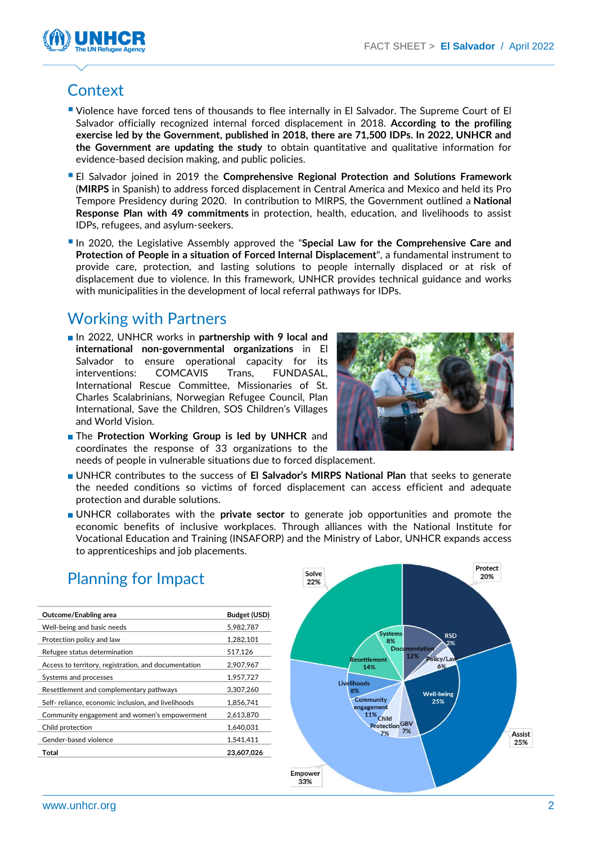

## **Context**

- **Uiolence have forced tens of thousands to flee internally in El Salvador. The Supreme Court of El** Salvador officially recognized internal forced displacement in 2018. **According to the profiling exercise led by the Government, published in 2018, there are 71,500 IDPs. In 2022, UNHCR and the Government are updating the study** to obtain quantitative and qualitative information for evidence-based decision making, and public policies.
- El Salvador joined in 2019 the **Comprehensive Regional Protection and Solutions Framework** (**MIRPS** in Spanish) to address forced displacement in Central America and Mexico and held its Pro Tempore Presidency during 2020. In contribution to MIRPS, the Government outlined a **National Response Plan with 49 commitments** in protection, health, education, and livelihoods to assist IDPs, refugees, and asylum-seekers.
- In 2020, the Legislative Assembly approved the "**Special Law for the Comprehensive Care and Protection of People in a situation of Forced Internal Displacement**", a fundamental instrument to provide care, protection, and lasting solutions to people internally displaced or at risk of displacement due to violence. In this framework, UNHCR provides technical guidance and works with municipalities in the development of local referral pathways for IDPs.

### Working with Partners

■ In 2022, UNHCR works in **partnership with 9 local and international non-governmental organizations** in El Salvador to ensure operational capacity for its interventions: COMCAVIS Trans, FUNDASAL, International Rescue Committee, Missionaries of St. Charles Scalabrinians, Norwegian Refugee Council, Plan International, Save the Children, SOS Children's Villages and World Vision.



- The **Protection Working Group is led by UNHCR** and coordinates the response of 33 organizations to the needs of people in vulnerable situations due to forced displacement.
- UNHCR contributes to the success of **El Salvador's MIRPS National Plan** that seeks to generate the needed conditions so victims of forced displacement can access efficient and adequate protection and durable solutions.
- UNHCR collaborates with the **private sector** to generate job opportunities and promote the economic benefits of inclusive workplaces. Through alliances with the National Institute for Vocational Education and Training (INSAFORP) and the Ministry of Labor, UNHCR expands access to apprenticeships and job placements.

| Outcome/Enabling area                                | Budget (USD) |
|------------------------------------------------------|--------------|
| Well-being and basic needs                           | 5,982,787    |
| Protection policy and law                            | 1,282,101    |
| Refugee status determination                         | 517,126      |
| Access to territory, registration, and documentation | 2,907,967    |
| Systems and processes                                | 1,957,727    |
| Resettlement and complementary pathways              | 3,307,260    |
| Self-reliance, economic inclusion, and livelihoods   | 1.856.741    |
| Community engagement and women's empowerment         | 2,613,870    |
| Child protection                                     | 1.640.031    |
| Gender-based violence                                | 1.541.411    |
| Total                                                | 23,607,026   |
|                                                      |              |



### Planning for Impact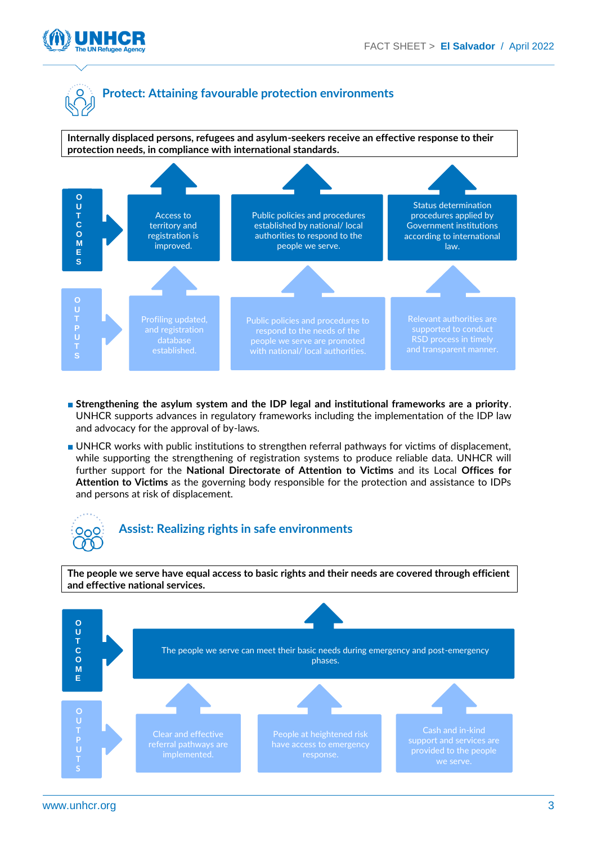



**Internally displaced persons, refugees and asylum-seekers receive an effective response to their protection needs, in compliance with international standards.**



- **Strengthening the asylum system and the IDP legal and institutional frameworks are a priority**. UNHCR supports advances in regulatory frameworks including the implementation of the IDP law and advocacy for the approval of by-laws.
- UNHCR works with public institutions to strengthen referral pathways for victims of displacement, while supporting the strengthening of registration systems to produce reliable data. UNHCR will further support for the **National Directorate of Attention to Victims** and its Local **Offices for Attention to Victims** as the governing body responsible for the protection and assistance to IDPs and persons at risk of displacement.

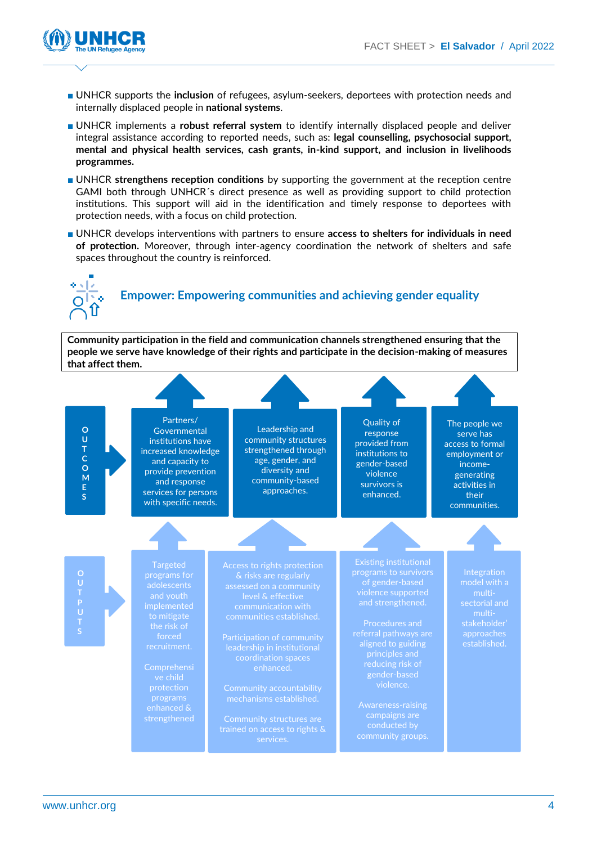

- UNHCR supports the **inclusion** of refugees, asylum-seekers, deportees with protection needs and internally displaced people in **national systems**.
- UNHCR implements a **robust referral system** to identify internally displaced people and deliver integral assistance according to reported needs, such as: **legal counselling, psychosocial support, mental and physical health services, cash grants, in-kind support, and inclusion in livelihoods programmes.**
- UNHCR **strengthens reception conditions** by supporting the government at the reception centre GAMI both through UNHCR´s direct presence as well as providing support to child protection institutions. This support will aid in the identification and timely response to deportees with protection needs, with a focus on child protection.
- UNHCR develops interventions with partners to ensure **access to shelters for individuals in need of protection.** Moreover, through inter-agency coordination the network of shelters and safe spaces throughout the country is reinforced.



# **Empower: Empowering communities and achieving gender equality**

**Community participation in the field and communication channels strengthened ensuring that the people we serve have knowledge of their rights and participate in the decision-making of measures that affect them.**

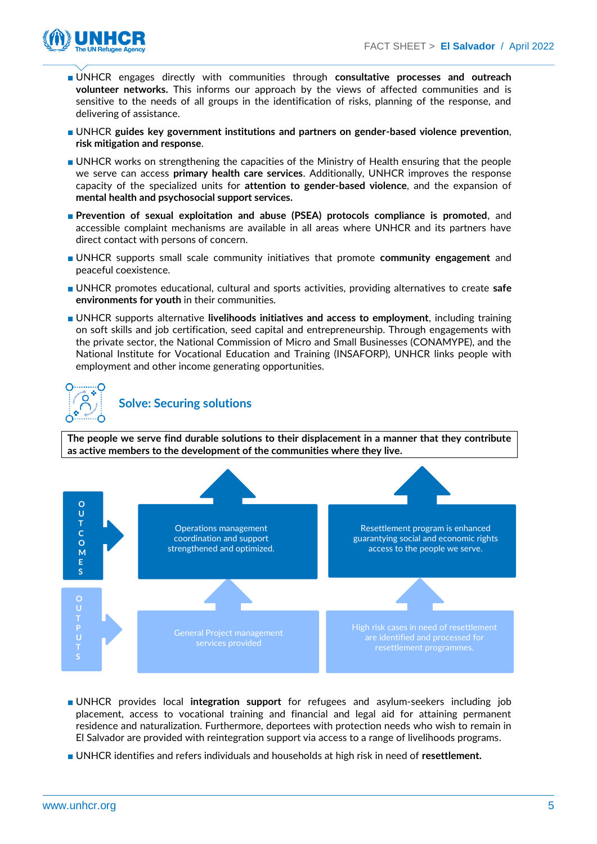

- UNHCR engages directly with communities through **consultative processes and outreach volunteer networks.** This informs our approach by the views of affected communities and is sensitive to the needs of all groups in the identification of risks, planning of the response, and delivering of assistance.
- UNHCR **guides key government institutions and partners on gender-based violence prevention**, **risk mitigation and response**.
- UNHCR works on strengthening the capacities of the Ministry of Health ensuring that the people we serve can access **primary health care services**. Additionally, UNHCR improves the response capacity of the specialized units for **attention to gender-based violence**, and the expansion of **mental health and psychosocial support services.**
- **Prevention of sexual exploitation and abuse (PSEA) protocols compliance is promoted**, and accessible complaint mechanisms are available in all areas where UNHCR and its partners have direct contact with persons of concern.
- UNHCR supports small scale community initiatives that promote **community engagement** and peaceful coexistence.
- UNHCR promotes educational, cultural and sports activities, providing alternatives to create **safe environments for youth** in their communities.
- UNHCR supports alternative **livelihoods initiatives and access to employment**, including training on soft skills and job certification, seed capital and entrepreneurship. Through engagements with the private sector, the National Commission of Micro and Small Businesses (CONAMYPE), and the National Institute for Vocational Education and Training (INSAFORP), UNHCR links people with employment and other income generating opportunities.



#### **Solve: Securing solutions**

**The people we serve find durable solutions to their displacement in a manner that they contribute as active members to the development of the communities where they live.**



- UNHCR provides local **integration support** for refugees and asylum-seekers including job placement, access to vocational training and financial and legal aid for attaining permanent residence and naturalization. Furthermore, deportees with protection needs who wish to remain in El Salvador are provided with reintegration support via access to a range of livelihoods programs.
- UNHCR identifies and refers individuals and households at high risk in need of **resettlement.**